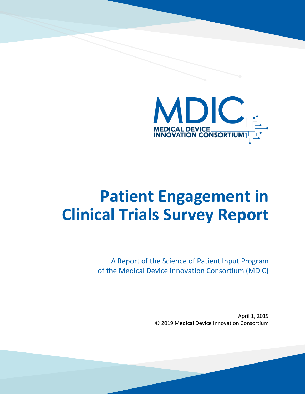

# **Patient Engagement in Clinical Trials Survey Report**

A Report of the Science of Patient Input Program of the Medical Device Innovation Consortium (MDIC)

> April 1, 2019 © 2019 Medical Device Innovation Consortium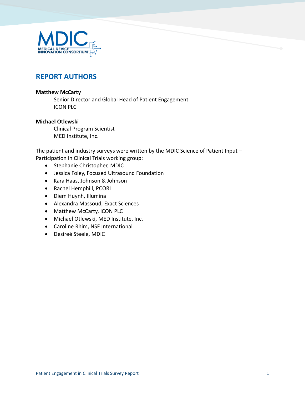

# **REPORT AUTHORS**

#### **Matthew McCarty**

Senior Director and Global Head of Patient Engagement ICON PLC

#### **Michael Otlewski**

Clinical Program Scientist MED Institute, Inc.

The patient and industry surveys were written by the MDIC Science of Patient Input -Participation in Clinical Trials working group:

- Stephanie Christopher, MDIC
- Jessica Foley, Focused Ultrasound Foundation
- Kara Haas, Johnson & Johnson
- Rachel Hemphill, PCORI
- Diem Huynh, Illumina
- Alexandra Massoud, Exact Sciences
- Matthew McCarty, ICON PLC
- Michael Otlewski, MED Institute, Inc.
- Caroline Rhim, NSF International
- Desireé Steele, MDIC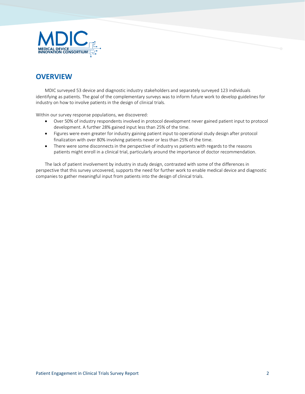

# **OVERVIEW**

MDIC surveyed 53 device and diagnostic industry stakeholders and separately surveyed 123 individuals identifying as patients. The goal of the complementary surveys was to inform future work to develop guidelines for industry on how to involve patients in the design of clinical trials.

Within our survey response populations, we discovered:

- Over 50% of industry respondents involved in protocol development never gained patient input to protocol development. A further 28% gained input less than 25% of the time.
- Figures were even greater for industry gaining patient input to operational study design after protocol finalization with over 80% involving patients never or less than 25% of the time.
- There were some disconnects in the perspective of industry vs patients with regards to the reasons patients might enroll in a clinical trial, particularly around the importance of doctor recommendation.

The lack of patient involvement by industry in study design, contrasted with some of the differences in perspective that this survey uncovered, supports the need for further work to enable medical device and diagnostic companies to gather meaningful input from patients into the design of clinical trials.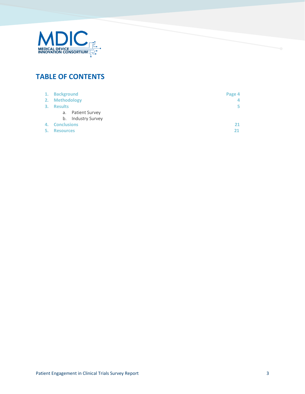

# **TABLE OF CONTENTS**

|    | 1. Background                | Page 4 |
|----|------------------------------|--------|
|    | 2. Methodology               |        |
| 3. | <b>Results</b>               | ь.     |
|    | Patient Survey<br>а.         |        |
|    | <b>Industry Survey</b><br>b. |        |
| 4. | <b>Conclusions</b>           | 21     |
| 5. | <b>Resources</b>             | 21     |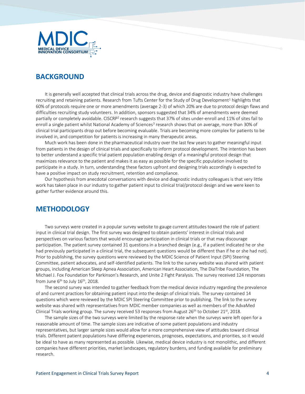

### **BACKGROUND**

It is generally well accepted that clinical trials across the drug, device and diagnostic industry have challenges recruiting and retaining patients. Research from Tufts Center for the Study of Drug Development<sup>1</sup> highlights that 60% of protocols require one or more amendments (average 2-3) of which 20% are due to protocol design flaws and difficulties recruiting study volunteers. In addition, sponsors suggested that 34% of amendments were deemed partially or completely avoidable. CISCRP<sup>2</sup> research suggests that 37% of sites under-enroll and 11% of sites fail to enroll a single patient whilst National Academy of Sciences<sup>3</sup> research shows that on average, more than 30% of clinical trial participants drop out before becoming evaluable. Trials are becoming more complex for patients to be involved in, and competition for patients is increasing in many therapeutic areas.

Much work has been done in the pharmaceutical industry over the last few years to gather meaningful input from patients in the design of clinical trials and specifically to inform protocol development. The intention has been to better understand a specific trial patient population enabling design of a meaningful protocol design that maximizes relevance to the patient and makes it as easy as possible for the specific population involved to participate in a study. In turn, understanding these factors upfront and designing trials accordingly is expected to have a positive impact on study recruitment, retention and compliance.

Our hypothesis from anecdotal conversations with device and diagnostic industry colleagues is that very little work has taken place in our industry to gather patient input to clinical trial/protocol design and we were keen to gather further evidence around this.

### **METHODOLOGY**

Two surveys were created in a popular survey website to gauge current attitudes toward the role of patient input in clinical trial design. The first survey was designed to obtain patients' interest in clinical trials and perspectives on various factors that would encourage participation in clinical trials or that may discourage participation. The patient survey contained 31 questions in a branched design (e.g., if a patient indicated he or she had previously participated in a clinical trial, the subsequent questions would be different than if he or she had not). Prior to publishing, the survey questions were reviewed by the MDIC Science of Patient Input (SPI) Steering Committee, patient advocates, and self-identified patients. The link to the survey website was shared with patient groups, including American Sleep Apnea Association, American Heart Association, The DiaTribe Foundation, The Michael J. Fox Foundation for Parkinson's Research, and Unite 2 Fight Paralysis. The survey received 124 responses from June  $6<sup>th</sup>$  to July 16<sup>th</sup>, 2018.

The second survey was intended to gather feedback from the medical device industry regarding the prevalence of and current practices for obtaining patient input into the design of clinical trials. The survey contained 14 questions which were reviewed by the MDIC SPI Steering Committee prior to publishing. The link to the survey website was shared with representatives from MDIC member companies as well as members of the AdvaMed Clinical Trials working group. The survey received 53 responses from August 26<sup>th</sup> to October 21<sup>st</sup>, 2018.

The sample sizes of the two surveys were limited by the response rate when the surveys were left open for a reasonable amount of time. The sample sizes are indicative of some patient populations and industry representatives, but larger sample sizes would allow for a more comprehensive view of attitudes toward clinical trials. Different patient populations have differing experiences, prognoses, expectations, and priorities, so it would be ideal to have as many represented as possible. Likewise, medical device industry is not monolithic, and different companies have different priorities, market landscapes, regulatory burdens, and funding available for preliminary research.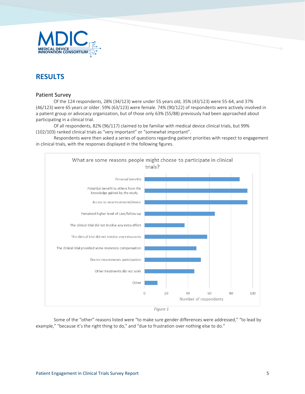

# **RESULTS**

#### Patient Survey

Of the 124 respondents, 28% (34/123) were under 55 years old, 35% (43/123) were 55-64, and 37% (46/123) were 65 years or older. 59% (63/123) were female. 74% (90/122) of respondents were actively involved in a patient group or advocacy organization, but of those only 63% (55/88) previously had been approached about participating in a clinical trial.

Of all respondents, 82% (96/117) claimed to be familiar with medical device clinical trials, but 99% (102/103) ranked clinical trials as "very important" or "somewhat important".

Respondents were then asked a series of questions regarding patient priorities with respect to engagement in clinical trials, with the responses displayed in the following figures.



*Figure 1*

Some of the "other" reasons listed were "to make sure gender differences were addressed," "to lead by example," "because it's the right thing to do," and "due to frustration over nothing else to do."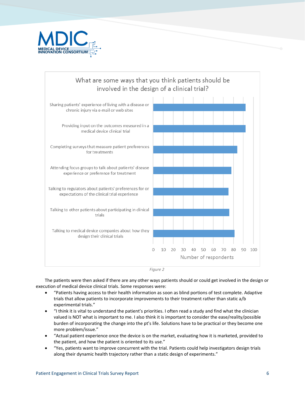





The patients were then asked if there are any other ways patients should or could get involved in the design or execution of medical device clinical trials. Some responses were:

- "Patients having access to their health information as soon as blind portions of test complete. Adaptive trials that allow patients to incorporate improvements to their treatment rather than static a/b experimental trials."
- "I think it is vital to understand the patient's priorities. I often read a study and find what the clinician valued is NOT what is important to me. I also think it is important to consider the ease/reality/possible burden of incorporating the change into the pt's life. Solutions have to be practical or they become one more problem/issue."
- "Actual patient experience once the device is on the market, evaluating how it is marketed, provided to the patient, and how the patient is oriented to its use."
- "Yes, patients want to improve concurrent with the trial. Patients could help investigators design trials along their dynamic health trajectory rather than a static design of experiments."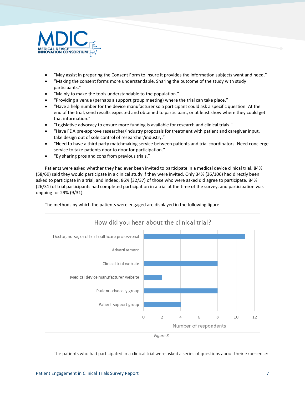

- "May assist in preparing the Consent Form to insure it provides the information subjects want and need."
- "Making the consent forms more understandable. Sharing the outcome of the study with study participants."
- "Mainly to make the tools understandable to the population."
- "Providing a venue (perhaps a support group meeting) where the trial can take place."
- "Have a help number for the device manufacturer so a participant could ask a specific question. At the end of the trial, send results expected and obtained to participant, or at least show where they could get that information."
- "Legislative advocacy to ensure more funding is available for research and clinical trials."
- "Have FDA pre-approve researcher/industry proposals for treatment with patient and caregiver input, take design out of sole control of researcher/industry."
- "Need to have a third party matchmaking service between patients and trial coordinators. Need concierge service to take patients door to door for participation."
- "By sharing pros and cons from previous trials."

Patients were asked whether they had ever been invited to participate in a medical device clinical trial. 84% (58/69) said they would participate in a clinical study if they were invited. Only 34% (36/106) had directly been asked to participate in a trial, and indeed, 86% (32/37) of those who were asked did agree to participate. 84% (26/31) of trial participants had completed participation in a trial at the time of the survey, and participation was ongoing for 29% (9/31).





The patients who had participated in a clinical trial were asked a series of questions about their experience: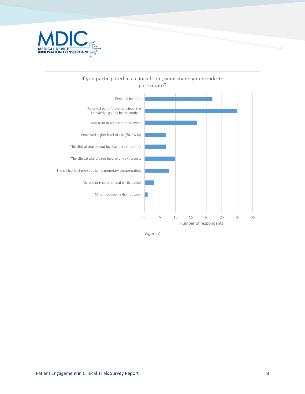



*Figure 4*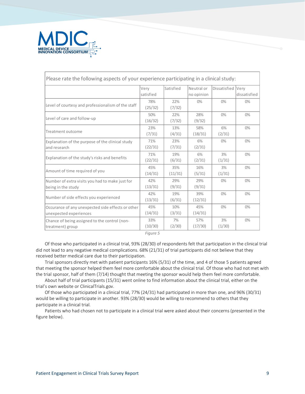

| Please rate the following aspects of your experience participating in a clinical study: |                   |                |                          |              |                             |  |  |  |
|-----------------------------------------------------------------------------------------|-------------------|----------------|--------------------------|--------------|-----------------------------|--|--|--|
|                                                                                         | Very<br>satisfied | Satisfied      | Neutral or<br>no opinion | Dissatisfied | <b>Verv</b><br>dissatisfied |  |  |  |
| Level of courtesy and professionalism of the staff                                      | 78%<br>(25/32)    | 22%<br>(7/32)  | $0\%$                    | $0\%$        | $0\%$                       |  |  |  |
| Level of care and follow-up                                                             | 50%<br>(16/32)    | 22%<br>(7/32)  | 28%<br>(9/32)            | 0%           | 0%                          |  |  |  |
| Treatment outcome                                                                       | 23%<br>(7/31)     | 13%<br>(4/31)  | 58%<br>(18/31)           | 6%<br>(2/31) | $0\%$                       |  |  |  |
| Explanation of the purpose of the clinical study<br>and research                        | 71%<br>(22/31)    | 23%<br>(7/31)  | 6%<br>(2/31)             | $0\%$        | 0%                          |  |  |  |
| Explanation of the study's risks and benefits                                           | 71%<br>(22/31)    | 19%<br>(6/31)  | 6%<br>(2/31)             | 3%<br>(1/31) | $0\%$                       |  |  |  |
| Amount of time required of you                                                          | 45%<br>(14/31)    | 35%<br>(11/31) | 16%<br>(5/31)            | 3%<br>(1/31) | $0\%$                       |  |  |  |
| Number of extra visits you had to make just for<br>being in the study                   | 42%<br>(13/31)    | 29%<br>(9/31)  | 29%<br>(9/31)            | 0%           | 0%                          |  |  |  |
| Number of side effects you experienced                                                  | 42%<br>(13/31)    | 19%<br>(6/31)  | 39%<br>(12/31)           | $0\%$        | $0\%$                       |  |  |  |
| Occurance of any unexpected side effects or other<br>unexpected experiences             | 45%<br>(14/31)    | 10%<br>(3/31)  | 45%<br>(14/31)           | $0\%$        | $0\%$                       |  |  |  |
| Chance of being assigned to the control (non-<br>treatment) group                       | 33%<br>(10/30)    | 7%<br>(2/30)   | 57%<br>(17/30)           | 3%<br>(1/30) | $0\%$                       |  |  |  |

*Figure 5*

Of those who participated in a clinical trial, 93% (28/30) of respondents felt that participation in the clinical trial did not lead to any negative medical complications. 68% (21/31) of trial participants did not believe that they received better medical care due to their participation.

Trial sponsors directly met with patient participants 16% (5/31) of the time, and 4 of those 5 patients agreed that meeting the sponsor helped them feel more comfortable about the clinical trial. Of those who had not met with the trial sponsor, half of them (7/14) thought that meeting the sponsor would help them feel more comfortable.

About half of trial participants (15/31) went online to find information about the clinical trial, either on the trial's own website or ClinicalTrials.gov.

Of those who participated in a clinical trial, 77% (24/31) had participated in more than one, and 96% (30/31) would be willing to participate in another. 93% (28/30) would be willing to recommend to others that they participate in a clinical trial.

Patients who had chosen not to participate in a clinical trial were asked about their concerns (presented in the figure below).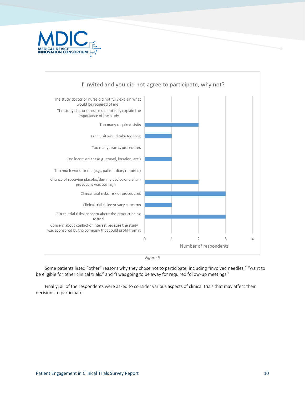



*Figure 6*

Some patients listed "other" reasons why they chose not to participate, including "involved needles," "want to be eligible for other clinical trials," and "I was going to be away for required follow-up meetings."

Finally, all of the respondents were asked to consider various aspects of clinical trials that may affect their decisions to participate: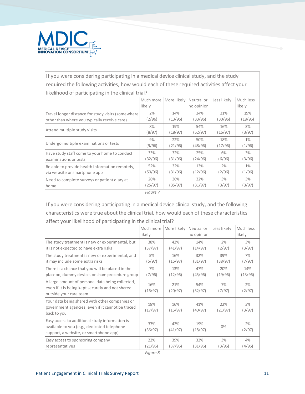

## If you were considering participating in a medical device clinical study, and the study required the following activities, how would each of these required activities affect your likelihood of participating in the clinical trial?

|                                                                                  | Much more      | More likely    | Neutral or     | Less likely    | Much less       |  |
|----------------------------------------------------------------------------------|----------------|----------------|----------------|----------------|-----------------|--|
|                                                                                  | likely         |                | no opinion     |                | likely          |  |
| Travel longer distance for study visits (somewhere                               | 2%             | 14%            | 34%            | 31%            | 19%             |  |
| other than where you typically receive care)                                     | (2/96)         | (13/96)        | (33/96)        | (30/96)        | (18/96)         |  |
| Attend multiple study visits                                                     | 8%<br>(8/97)   | 19%<br>(18/97) | 54%<br>(52/97) | 16%<br>(16/97) | 3%<br>(3/97)    |  |
| Undergo multiple examinations or tests                                           | 9%<br>(9/96)   | 22%<br>(21/96) | 50%<br>(48/96) | 18%<br>(17/96) | $1\%$<br>(1/96) |  |
| Have study staff come to your home to conduct<br>examinations or tests           | 33%<br>(32/96) | 32%<br>(31/96) | 25%<br>(24/96) | 6%<br>(6/96)   | 3%<br>(3/96)    |  |
| Be able to provide health information remotely,<br>via website or smartphone app | 52%<br>(50/96) | 32%<br>(31/96) | 13%<br>(12/96) | 2%<br>(2/96)   | $1\%$<br>(1/96) |  |
| Need to complete surveys or patient diary at<br>home                             | 26%<br>(25/97) | 36%<br>(35/97) | 32%<br>(31/97) | 3%<br>(3/97)   | 3%<br>(3/97)    |  |
|                                                                                  | Figure 7       |                |                |                |                 |  |

If you were considering participating in a medical device clinical study, and the following characteristics were true about the clinical trial, how would each of these characteristics affect your likelihood of participating in the clinical trial?

| affect your intentioual or participating in the cilincal trial:                                                                         |                     |                |                          |                |                     |  |
|-----------------------------------------------------------------------------------------------------------------------------------------|---------------------|----------------|--------------------------|----------------|---------------------|--|
|                                                                                                                                         | Much more<br>likely | More likely    | Neutral or<br>no opinion | Less likely    | Much less<br>likely |  |
| The study treatment is new or experimental, but<br>it is not expected to have extra risks                                               | 38%<br>(37/97)      | 42%<br>(41/97) | 14%<br>(14/97)           | 2%<br>(2/97)   | 3%<br>(3/97)        |  |
| The study treatment is new or experimental, and<br>it may include some extra risks                                                      | 5%<br>(5/97)        | 16%<br>(16/97) | 32%<br>(31/97)           | 39%<br>(38/97) | 7%<br>(7/97)        |  |
| There is a chance that you will be placed in the<br>placebo, dummy device, or sham procedure group                                      | 7%<br>(7/96)        | 13%<br>(12/96) | 47%<br>(45/96)           | 20%<br>(19/96) | 14%<br>(13/96)      |  |
| A large amount of personal data being collected,<br>even if it is being kept securely and not shared<br>outside your care team          | 16%<br>(16/97)      | 21%<br>(20/97) | 54%<br>(52/97)           | 7%<br>(7/97)   | 2%<br>(2/97)        |  |
| Your data benig shared with other companies or<br>government agencies, even if it cannot be traced<br>back to you                       | 18%<br>(17/97)      | 16%<br>(16/97) | 41%<br>(40/97)           | 22%<br>(21/97) | 3%<br>(3/97)        |  |
| Easy access to additional study information is<br>available to you (e.g., dedicated telephone<br>support, a website, or smartphone app) | 37%<br>(36/97)      | 42%<br>(41/97) | 19%<br>(18/97)           | $0\%$          | 2%<br>(2/97)        |  |
| Easy access to sponsoring company<br>representatives                                                                                    | 22%<br>(21/96)      | 39%<br>(37/96) | 32%<br>(31/96)           | 3%<br>(3/96)   | 4%<br>(4/96)        |  |

*Figure 8*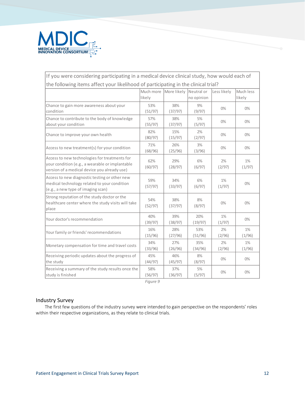

## If you were considering participating in a medical device clinical study, how would each of the following items affect your likelihood of participating in the clinical trial?

|                                                                                                                                                  | Much more<br>likely | More likely    | Neutral or<br>no opinion | Less likely     | Much less<br>likely |
|--------------------------------------------------------------------------------------------------------------------------------------------------|---------------------|----------------|--------------------------|-----------------|---------------------|
| Chance to gain more awareness about your<br>condition                                                                                            | 53%<br>(51/97)      | 38%<br>(37/97) | 9%<br>(9/97)             | 0%              | 0%                  |
| Chance to contribute to the body of knowledge<br>about your condition                                                                            | 57%<br>(55/97)      | 38%<br>(37/97) | 5%<br>(5/97)             | $0\%$           | 0%                  |
| Chance to improve your own health                                                                                                                | 82%<br>(80/97)      | 15%<br>(15/97) | 2%<br>(2/97)             | 0%              | 0%                  |
| Access to new treatment(s) for your condition                                                                                                    | 71%<br>(68/96)      | 26%<br>(25/96) | 3%<br>(3/96)             | 0%              | 0%                  |
| Access to new technologies for treatments for<br>your condition (e.g., a wearable or implantable<br>version of a medical device you already use) | 62%<br>(60/97)      | 29%<br>(28/97) | 6%<br>(6/97)             | 2%<br>(2/97)    | $1\%$<br>(1/97)     |
| Access to new diagnostic testing or other new<br>medical technology related to your condition<br>(e.g., a new type of imaging scan)              | 59%<br>(57/97)      | 34%<br>(33/97) | 6%<br>(6/97)             | $1\%$<br>(1/97) | 0%                  |
| Strong reputation of the study doctor or the<br>healthcare center where the study visits will take<br>place                                      | 54%<br>(52/97)      | 38%<br>(37/97) | 8%<br>(8/97)             | 0%              | 0%                  |
| Your doctor's recommendation                                                                                                                     | 40%<br>(39/97)      | 39%<br>(38/97) | 20%<br>(19/97)           | $1\%$<br>(1/97) | 0%                  |
| Your family or friends' recommendations                                                                                                          | 16%<br>(15/96)      | 28%<br>(27/96) | 53%<br>(51/96)           | 2%<br>(2/96)    | $1\%$<br>(1/96)     |
| Monetary compensation for time and travel costs                                                                                                  | 34%<br>(33/96)      | 27%<br>(26/96) | 35%<br>(34/96)           | 2%<br>(2/96)    | $1\%$<br>(1/96)     |
| Receiving periodic updates about the progress of<br>the study                                                                                    | 45%<br>(44/97)      | 46%<br>(45/97) | 8%<br>(8/97)             | 0%              | 0%                  |
| Receiving a summary of the study results once the<br>study is finished                                                                           | 58%<br>(56/97)      | 37%<br>(36/97) | 5%<br>(5/97)             | 0%              | 0%                  |

*Figure 9*

#### Industry Survey

The first few questions of the industry survey were intended to gain perspective on the respondents' roles within their respective organizations, as they relate to clinical trials.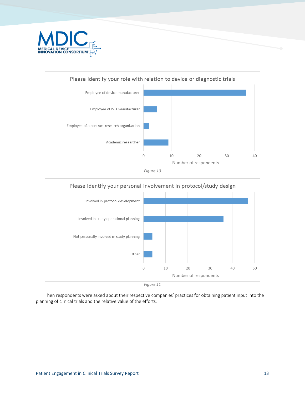







Then respondents were asked about their respective companies' practices for obtaining patient input into the planning of clinical trials and the relative value of the efforts.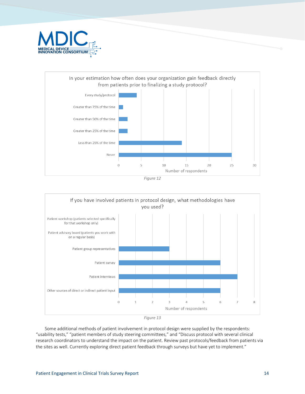









Some additional methods of patient involvement in protocol design were supplied by the respondents: "usability tests," "patient members of study steering committees," and "Discuss protocol with several clinical research coordinators to understand the impact on the patient. Review past protocols/feedback from patients via the sites as well. Currently exploring direct patient feedback through surveys but have yet to implement."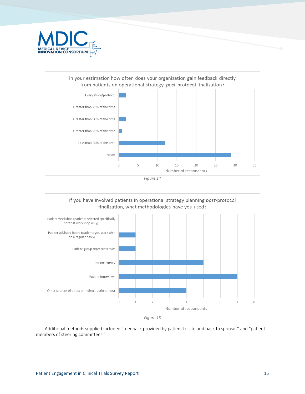







*Figure 15*

Additional methods supplied included "feedback provided by patient to site and back to sponsor" and "patient members of steering committees."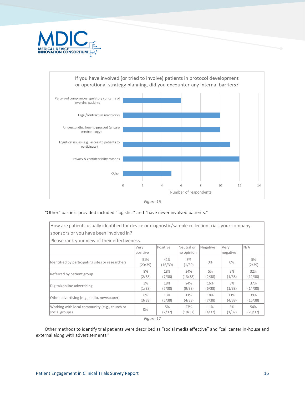



*Figure 16*

#### "Other" barriers provided included "logistics" and "have never involved patients."

| How are patients usually identified for device or diagnostic/sample collection trials your company |                  |                |                          |               |                                                                        |                |
|----------------------------------------------------------------------------------------------------|------------------|----------------|--------------------------|---------------|------------------------------------------------------------------------|----------------|
| sponsors or you have been involved in?                                                             |                  |                |                          |               |                                                                        |                |
| Please rank your view of their effectiveness.                                                      |                  |                |                          |               |                                                                        |                |
|                                                                                                    | Very<br>positive | Positive       | Neutral or<br>no opinion | Negative      | Verv<br>negative                                                       | N/A            |
| Identified by participating sites or researchers                                                   | 51%<br>(20/39)   | 41%<br>(16/39) | 3%<br>(1/39)             | $0\%$         | $0\%$<br>3%<br>(1/38)<br>3%<br>(1/38)<br>11%<br>(4/38)<br>3%<br>(1/37) | 5%<br>(2/39)   |
| Referred by patient group                                                                          | 8%<br>(2/38)     | 18%<br>(7/38)  | 34%<br>(13/38)           | 5%<br>(2/38)  |                                                                        | 32%<br>(12/38) |
| Digital/online advertising                                                                         | 3%<br>(1/38)     | 18%<br>(7/38)  | 24%<br>(9/38)            | 16%<br>(6/38) |                                                                        | 37%<br>(14/38) |
| Other advertising (e.g., radio, newspaper)                                                         | 8%<br>(3/38)     | 13%<br>(5/38)  | 11%<br>(4/38)            | 18%<br>(7/38) |                                                                        | 39%<br>(15/38) |
| Working with local community (e.g., church or<br>social groups)                                    | $0\%$            | 5%<br>(2/37)   | 27%<br>(10/37)           | 11%<br>(4/37) |                                                                        | 54%<br>(20/37) |
|                                                                                                    | Figure 17        |                |                          |               |                                                                        |                |

Other methods to identify trial patients were described as "social media effective" and "call center in-house and external along with advertisements."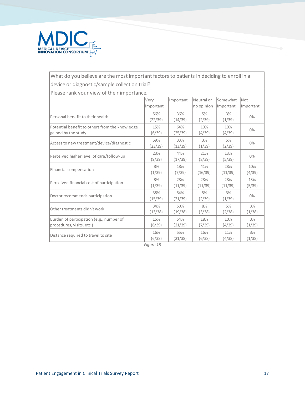

## What do you believe are the most important factors to patients in deciding to enroll in a device or diagnostic/sample collection trial?

Please rank your view of their importance.

| Very      | Important | Neutral or | Somewhat  | Not       |
|-----------|-----------|------------|-----------|-----------|
| important |           | no opinion | important | important |
| 56%       | 36%       | 5%         | 3%        | $0\%$     |
| (22/39)   | (14/39)   | (2/39)     | (1/39)    |           |
| 15%       | 64%       | 10%        | 10%       | 0%        |
| 59%       | 33%       | 3%         | 5%        | 0%        |
| (23/39)   | (13/39)   | (1/39)     | (2/39)    |           |
| 23%       | 44%       | 21%        | 13%       | 0%        |
| (9/39)    | (17/39)   | (8/39)     | (5/39)    |           |
| 3%        | 18%       | 41%        | 28%       | 10%       |
| (1/39)    | (7/39)    | (16/39)    | (11/39)   | (4/39)    |
| 3%        | 28%       | 28%        | 28%       | 13%       |
| (1/39)    | (11/39)   | (11/39)    | (11/39)   | (5/39)    |
| 38%       | 54%       | 5%         | 3%        | $0\%$     |
| (15/39)   | (21/39)   | (2/39)     | (1/39)    |           |
| 34%       | 50%       | 8%         | 5%        | 3%        |
| (13/38)   | (19/38)   | (3/38)     | (2/38)    | (1/38)    |
| 15%       | 54%       | 18%        | 10%       | 3%        |
| (6/39)    | (21/39)   | (7/39)     | (4/39)    | (1/39)    |
| 16%       | 55%       | 16%        | 11%       | 3%        |
| (6/38)    | (21/38)   | (6/38)     | (4/38)    | (1/38)    |
|           | (6/39)    | (25/39)    | (4/39)    | (4/39)    |

*Figure 18*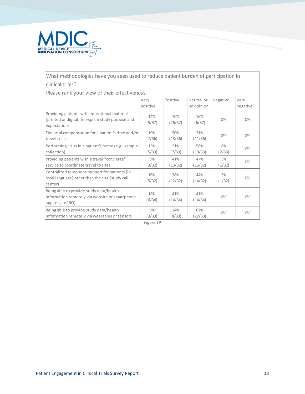

## What methodologies have you seen used to reduce patient burden of participation in clinical trials?

Please rank your view of their effectiveness.

|                                                                                                                   | Very<br>positive | Positive       | Neutral or<br>no opinion | Negative     | Very<br>negative |
|-------------------------------------------------------------------------------------------------------------------|------------------|----------------|--------------------------|--------------|------------------|
| Providing patients with educational material<br>(printed or digital) to explain study purpose and<br>expectations | 14%<br>(5/37)    | 70%<br>(26/37) | 16%<br>(6/37)            | 0%           | 0%               |
| Financial compensation for a patient's time and/or<br>travel costs                                                | 19%<br>(7/36)    | 50%<br>(18/36) | 31%<br>(11/36)           | 0%           | 0%               |
| Performing visits in a patient's home (e.g., sample<br>collection)                                                | 15%<br>(5/33)    | 21%<br>(7/33)  | 58%<br>(19/33)           | 6%<br>(2/33) | $0\%$            |
| Providing patients with a travel "concierge"<br>service to coordinate travel to sites                             | 9%<br>(3/32)     | 41%<br>(13/32) | 47%<br>(15/32)           | 3%<br>(1/32) | $0\%$            |
| Centralized telephone support for patients (in<br>local language) other than the site (study call<br>center)      | 16%<br>(5/32)    | 38%<br>(12/32) | 44%<br>(14/32)           | 3%<br>(1/32) | 0%               |
| Being able to provide study data/health<br>information remotely via website or smartphone<br>app (e.g., ePRO)     | 18%<br>(6/34)    | 41%<br>(14/34) | 41%<br>(14/34)           | 0%           | 0%               |
| Being able to provide study data/health<br>information remotely via wearables or sensors                          | 9%<br>(3/33)     | 24%<br>(8/33)  | 67%<br>(22/33)           | 0%           | 0%               |

*Figure 19*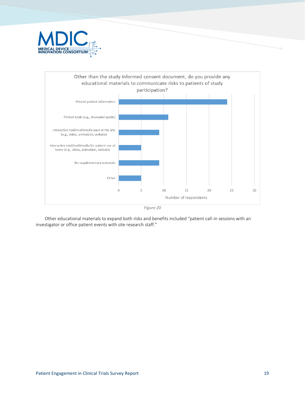



*Figure 20*

Other educational materials to expand both risks and benefits included "patient call-in sessions with an investigator or office patient events with site research staff."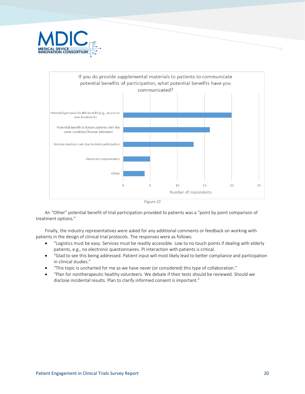



*Figure 21*

An "Other" potential benefit of trial participation provided to patients was a "point by point comparison of treatment options."

Finally, the industry representatives were asked for any additional comments or feedback on working with patients in the design of clinical trial protocols. The responses were as follows:

- "Logistics must be easy. Services must be readily accessible. Low to no touch points if dealing with elderly patients, e.g., no electronic questionnaires. PI interaction with patients is critical.
- "Glad to see this being addressed. Patient input will most likely lead to better compliance and participation in clinical studies."
- "This topic is uncharted for me as we have never (or considered) this type of collaboration."
- "Plan for nontherapeutic healthy volunteers. We debate if their tests should be reviewed. Should we disclose incidental results. Plan to clarify informed consent is important."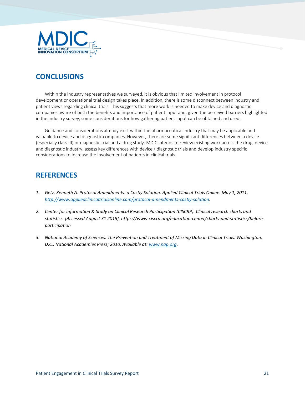

## **CONCLUSIONS**

Within the industry representatives we surveyed, it is obvious that limited involvement in protocol development or operational trial design takes place. In addition, there is some disconnect between industry and patient views regarding clinical trials. This suggests that more work is needed to make device and diagnostic companies aware of both the benefits and importance of patient input and, given the perceived barriers highlighted in the industry survey, some considerations for how gathering patient input can be obtained and used.

Guidance and considerations already exist within the pharmaceutical industry that may be applicable and valuable to device and diagnostic companies. However, there are some significant differences between a device (especially class III) or diagnostic trial and a drug study. MDIC intends to review existing work across the drug, device and diagnostic industry, assess key differences with device / diagnostic trials and develop industry specific considerations to increase the involvement of patients in clinical trials.

## **REFERENCES**

- *1. Getz, Kenneth A. Protocol Amendments: a Costly Solution. Applied Clinical Trials Online. May 1, 2011. [http://www.appliedclinicaltrialsonline.com/protocol-amendments-costly-solution.](http://www.appliedclinicaltrialsonline.com/protocol-amendments-costly-solution)*
- *2. Center for Information & Study on Clinical Research Participation (CISCRP). Clinical research charts and statistics. [Accessed August 31 2015]. https://www.ciscrp.org/education-center/charts-and-statistics/beforeparticipation*
- *3. National Academy of Sciences. The Prevention and Treatment of Missing Data in Clinical Trials. Washington, D.C.: National Academies Press; 2010. Available at: [www.nap.org.](http://www.nap.org/)*